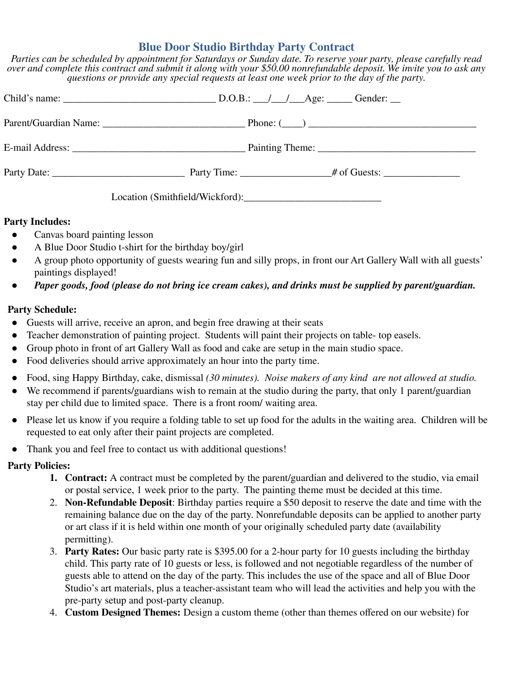## **Blue Door Studio Birthday Party Contract**

*Parties can be scheduled by appointment for Saturdays or Sunday date. To reserve your party, please carefully read over and complete this contract and submit it along with your \$50.00 nonrefundable deposit. We invite you to ask any questions or provide any special requests at least one week prior to the day of the party.*

## **Party Includes:**

- Canvas board painting lesson
- A Blue Door Studio t-shirt for the birthday boy/girl
- A group photo opportunity of guests wearing fun and silly props, in front our Art Gallery Wall with all guests' paintings displayed!
- *Paper goods, food (please do not bring ice cream cakes), and drinks must be supplied by parent/guardian.*

## **Party Schedule:**

- Guests will arrive, receive an apron, and begin free drawing at their seats
- Teacher demonstration of painting project. Students will paint their projects on table- top easels.
- Group photo in front of art Gallery Wall as food and cake are setup in the main studio space.
- Food deliveries should arrive approximately an hour into the party time.
- Food, sing Happy Birthday, cake, dismissal *(30 minutes). Noise makers of any kind are not allowed at studio.*
- We recommend if parents/guardians wish to remain at the studio during the party, that only 1 parent/guardian stay per child due to limited space. There is a front room/ waiting area.
- Please let us know if you require a folding table to set up food for the adults in the waiting area. Children will be requested to eat only after their paint projects are completed.
- Thank you and feel free to contact us with additional questions!

## **Party Policies:**

- **1. Contract:** A contract must be completed by the parent/guardian and delivered to the studio, via email or postal service, 1 week prior to the party. The painting theme must be decided at this time.
- 2. **Non-Refundable Deposit**: Birthday parties require a \$50 deposit to reserve the date and time with the remaining balance due on the day of the party. Nonrefundable deposits can be applied to another party or art class if it is held within one month of your originally scheduled party date (availability permitting).
- 3. **Party Rates:** Our basic party rate is \$395.00 for a 2-hour party for 10 guests including the birthday child. This party rate of 10 guests or less, is followed and not negotiable regardless of the number of guests able to attend on the day of the party. This includes the use of the space and all of Blue Door Studio's art materials, plus a teacher-assistant team who will lead the activities and help you with the pre-party setup and post-party cleanup.
- 4. **Custom Designed Themes:** Design a custom theme (other than themes offered on our website) for